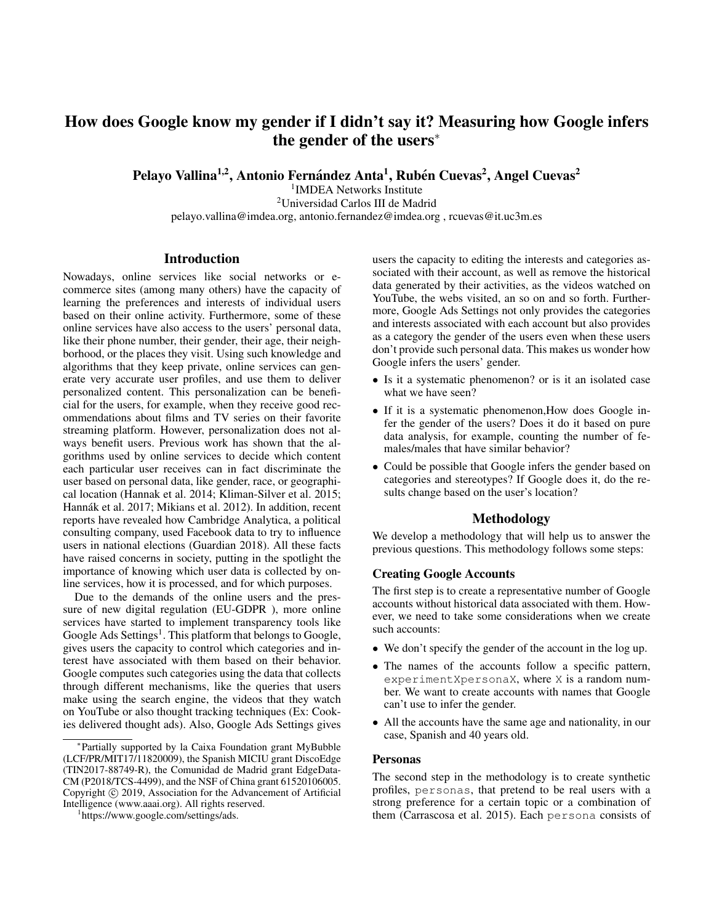# How does Google know my gender if I didn't say it? Measuring how Google infers the gender of the users<sup>∗</sup>

Pelayo Vallina<sup>1,2</sup>, Antonio Fernández Anta<sup>1</sup>, Rubén Cuevas<sup>2</sup>, Angel Cuevas<sup>2</sup>

1 IMDEA Networks Institute <sup>2</sup>Universidad Carlos III de Madrid pelayo.vallina@imdea.org, antonio.fernandez@imdea.org , rcuevas@it.uc3m.es

## **Introduction**

Nowadays, online services like social networks or ecommerce sites (among many others) have the capacity of learning the preferences and interests of individual users based on their online activity. Furthermore, some of these online services have also access to the users' personal data, like their phone number, their gender, their age, their neighborhood, or the places they visit. Using such knowledge and algorithms that they keep private, online services can generate very accurate user profiles, and use them to deliver personalized content. This personalization can be beneficial for the users, for example, when they receive good recommendations about films and TV series on their favorite streaming platform. However, personalization does not always benefit users. Previous work has shown that the algorithms used by online services to decide which content each particular user receives can in fact discriminate the user based on personal data, like gender, race, or geographical location (Hannak et al. 2014; Kliman-Silver et al. 2015; Hannák et al. 2017; Mikians et al. 2012). In addition, recent reports have revealed how Cambridge Analytica, a political consulting company, used Facebook data to try to influence users in national elections (Guardian 2018). All these facts have raised concerns in society, putting in the spotlight the importance of knowing which user data is collected by online services, how it is processed, and for which purposes.

Due to the demands of the online users and the pressure of new digital regulation (EU-GDPR ), more online services have started to implement transparency tools like Google Ads Settings<sup>1</sup>. This platform that belongs to Google, gives users the capacity to control which categories and interest have associated with them based on their behavior. Google computes such categories using the data that collects through different mechanisms, like the queries that users make using the search engine, the videos that they watch on YouTube or also thought tracking techniques (Ex: Cookies delivered thought ads). Also, Google Ads Settings gives users the capacity to editing the interests and categories associated with their account, as well as remove the historical data generated by their activities, as the videos watched on YouTube, the webs visited, an so on and so forth. Furthermore, Google Ads Settings not only provides the categories and interests associated with each account but also provides as a category the gender of the users even when these users don't provide such personal data. This makes us wonder how Google infers the users' gender.

- Is it a systematic phenomenon? or is it an isolated case what we have seen?
- If it is a systematic phenomenon,How does Google infer the gender of the users? Does it do it based on pure data analysis, for example, counting the number of females/males that have similar behavior?
- Could be possible that Google infers the gender based on categories and stereotypes? If Google does it, do the results change based on the user's location?

## Methodology

We develop a methodology that will help us to answer the previous questions. This methodology follows some steps:

### Creating Google Accounts

The first step is to create a representative number of Google accounts without historical data associated with them. However, we need to take some considerations when we create such accounts:

- We don't specify the gender of the account in the log up.
- The names of the accounts follow a specific pattern, experimentXpersonaX, where X is a random number. We want to create accounts with names that Google can't use to infer the gender.
- All the accounts have the same age and nationality, in our case, Spanish and 40 years old.

#### Personas

The second step in the methodology is to create synthetic profiles, personas, that pretend to be real users with a strong preference for a certain topic or a combination of them (Carrascosa et al. 2015). Each persona consists of

<sup>∗</sup> Partially supported by la Caixa Foundation grant MyBubble (LCF/PR/MIT17/11820009), the Spanish MICIU grant DiscoEdge (TIN2017-88749-R), the Comunidad de Madrid grant EdgeData-CM (P2018/TCS-4499), and the NSF of China grant 61520106005. Copyright © 2019, Association for the Advancement of Artificial Intelligence (www.aaai.org). All rights reserved.

<sup>1</sup> https://www.google.com/settings/ads.